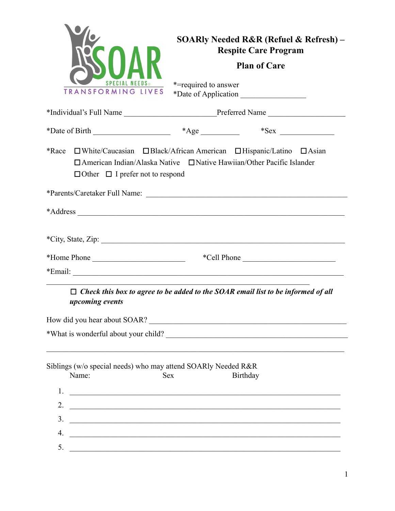|                                                                                                                                                                                                                                            | <b>SOARly Needed R&amp;R (Refuel &amp; Refresh)</b> –<br><b>Respite Care Program</b>                                                                                                |  |
|--------------------------------------------------------------------------------------------------------------------------------------------------------------------------------------------------------------------------------------------|-------------------------------------------------------------------------------------------------------------------------------------------------------------------------------------|--|
|                                                                                                                                                                                                                                            | <b>Plan of Care</b>                                                                                                                                                                 |  |
| <b>SPECIAL NEEDS</b><br>TRANSFORMING LIVES                                                                                                                                                                                                 | *= required to answer                                                                                                                                                               |  |
|                                                                                                                                                                                                                                            |                                                                                                                                                                                     |  |
|                                                                                                                                                                                                                                            |                                                                                                                                                                                     |  |
| $\Box$ Other $\Box$ I prefer not to respond                                                                                                                                                                                                | *Race $\Box$ White/Caucasian $\Box$ Black/African American $\Box$ Hispanic/Latino $\Box$ Asian<br>$\Box$ American Indian/Alaska Native $\Box$ Native Hawiian/Other Pacific Islander |  |
|                                                                                                                                                                                                                                            |                                                                                                                                                                                     |  |
|                                                                                                                                                                                                                                            |                                                                                                                                                                                     |  |
|                                                                                                                                                                                                                                            |                                                                                                                                                                                     |  |
| *Home Phone                                                                                                                                                                                                                                | *Cell Phone                                                                                                                                                                         |  |
|                                                                                                                                                                                                                                            |                                                                                                                                                                                     |  |
| <i>upcoming events</i>                                                                                                                                                                                                                     | $\Box$ Check this box to agree to be added to the SOAR email list to be informed of all                                                                                             |  |
|                                                                                                                                                                                                                                            | How did you hear about SOAR?                                                                                                                                                        |  |
|                                                                                                                                                                                                                                            |                                                                                                                                                                                     |  |
| Siblings (w/o special needs) who may attend SOARly Needed R&R<br>Name:<br><b>Sex</b>                                                                                                                                                       | Birthday                                                                                                                                                                            |  |
|                                                                                                                                                                                                                                            |                                                                                                                                                                                     |  |
| 2.<br><u> 2000 - Johann John Stone, mars and de film and de film and de film and definition of the set of the set of the set of the set of the set of the set of the set of the set of the set of the set of the set of the set of the</u> |                                                                                                                                                                                     |  |
| 3.<br><u> 1989 - Johann John Stein, market fyrir yr arlunydd y brenin ymgyr y gynnas y gynnas y gynnas y gynnas y gynn</u>                                                                                                                 |                                                                                                                                                                                     |  |
| 4.<br><u> 1989 - Johann Barn, fransk politik amerikansk politik (</u>                                                                                                                                                                      |                                                                                                                                                                                     |  |
| 5.                                                                                                                                                                                                                                         | <u> 1989 - Johann John Stone, mars and deutscher Stone (1989)</u>                                                                                                                   |  |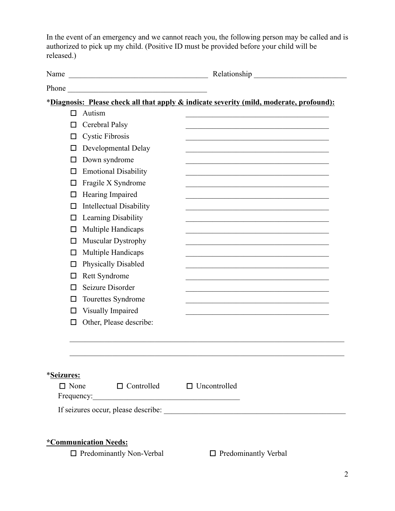In the event of an emergency and we cannot reach you, the following person may be called and is authorized to pick up my child. (Positive ID must be provided before your child will be released.)

| Name<br><u> 2008 - Jan James James James James James James James James James James James James James James James James J</u> | Relationship expansion of the state of the state of the state of the state of the state of the state of the state of the state of the state of the state of the state of the state of the state of the state of the state of t |
|------------------------------------------------------------------------------------------------------------------------------|--------------------------------------------------------------------------------------------------------------------------------------------------------------------------------------------------------------------------------|
|                                                                                                                              |                                                                                                                                                                                                                                |
| *Diagnosis: Please check all that apply & indicate severity (mild, moderate, profound):                                      |                                                                                                                                                                                                                                |
| Autism<br>П                                                                                                                  |                                                                                                                                                                                                                                |
| Cerebral Palsy<br>ΙI                                                                                                         |                                                                                                                                                                                                                                |
| <b>Cystic Fibrosis</b><br>П                                                                                                  |                                                                                                                                                                                                                                |
| Developmental Delay<br>ΙI                                                                                                    |                                                                                                                                                                                                                                |
| Down syndrome<br>ΙI                                                                                                          |                                                                                                                                                                                                                                |
| <b>Emotional Disability</b><br>П                                                                                             |                                                                                                                                                                                                                                |
| Fragile X Syndrome<br>П                                                                                                      |                                                                                                                                                                                                                                |
| Hearing Impaired<br>П                                                                                                        |                                                                                                                                                                                                                                |
| <b>Intellectual Disability</b><br>П                                                                                          |                                                                                                                                                                                                                                |
| Learning Disability<br>П                                                                                                     |                                                                                                                                                                                                                                |
| Multiple Handicaps<br>П                                                                                                      |                                                                                                                                                                                                                                |
| Muscular Dystrophy<br>П                                                                                                      |                                                                                                                                                                                                                                |
| Multiple Handicaps<br>П                                                                                                      |                                                                                                                                                                                                                                |
| Physically Disabled<br>ΙI                                                                                                    |                                                                                                                                                                                                                                |
| Rett Syndrome<br>П                                                                                                           |                                                                                                                                                                                                                                |
| Seizure Disorder                                                                                                             |                                                                                                                                                                                                                                |
| Tourettes Syndrome<br>П                                                                                                      |                                                                                                                                                                                                                                |
| Visually Impaired<br>П                                                                                                       |                                                                                                                                                                                                                                |
| Other, Please describe:<br>П                                                                                                 |                                                                                                                                                                                                                                |
|                                                                                                                              |                                                                                                                                                                                                                                |
| <i><b>*Seizures:</b></i>                                                                                                     |                                                                                                                                                                                                                                |
| $\Box$ None<br>$\Box$ Controlled $\Box$ Uncontrolled                                                                         |                                                                                                                                                                                                                                |
|                                                                                                                              |                                                                                                                                                                                                                                |
|                                                                                                                              |                                                                                                                                                                                                                                |
| *Communication Needs:<br>$\Box$ Predominantly Non-Verbal                                                                     | $\Box$ Predominantly Verbal                                                                                                                                                                                                    |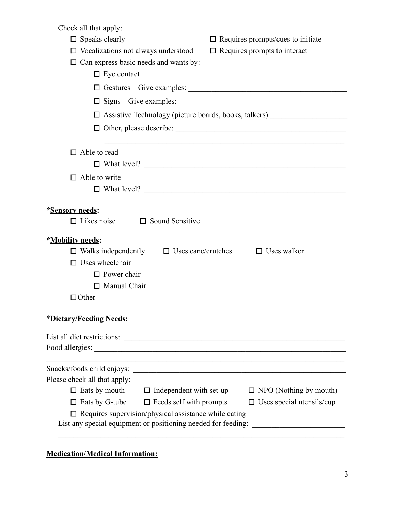$Chack$  all that apply

| Check all that apply:                                                                                                                                                                                                           |                                                                                                                       |
|---------------------------------------------------------------------------------------------------------------------------------------------------------------------------------------------------------------------------------|-----------------------------------------------------------------------------------------------------------------------|
| $\Box$ Speaks clearly                                                                                                                                                                                                           | $\Box$ Requires prompts/cues to initiate                                                                              |
| $\Box$ Vocalizations not always understood                                                                                                                                                                                      | $\Box$ Requires prompts to interact                                                                                   |
| $\Box$ Can express basic needs and wants by:                                                                                                                                                                                    |                                                                                                                       |
| $\Box$ Eye contact                                                                                                                                                                                                              |                                                                                                                       |
|                                                                                                                                                                                                                                 | $\Box$ Gestures – Give examples: $\Box$                                                                               |
|                                                                                                                                                                                                                                 |                                                                                                                       |
|                                                                                                                                                                                                                                 | □ Assistive Technology (picture boards, books, talkers) _______________________                                       |
|                                                                                                                                                                                                                                 |                                                                                                                       |
| $\Box$ Able to read                                                                                                                                                                                                             | <u> 1989 - Johann Barn, amerikan berkema dalam berkema dalam berkema dalam berkema dalam berkema dalam berkema da</u> |
|                                                                                                                                                                                                                                 | $\Box$ What level? $\Box$                                                                                             |
| $\Box$ Able to write                                                                                                                                                                                                            |                                                                                                                       |
|                                                                                                                                                                                                                                 | $\Box$ What level? $\Box$                                                                                             |
| *Sensory needs:<br>$\Box$ Likes noise $\Box$ Sound Sensitive<br>*Mobility needs:<br>$\Box$ Walks independently $\Box$ Uses cane/crutches<br>$\Box$ Uses wheelchair<br>$\Box$ Power chair<br>$\Box$ Manual Chair<br>$\Box$ Other | $\Box$ Uses walker                                                                                                    |
| *Dietary/Feeding Needs:                                                                                                                                                                                                         |                                                                                                                       |
| List all diet restrictions:                                                                                                                                                                                                     |                                                                                                                       |
|                                                                                                                                                                                                                                 |                                                                                                                       |
|                                                                                                                                                                                                                                 | and the control of the control of the control of the control of the control of the control of the control of the      |
| Please check all that apply:                                                                                                                                                                                                    |                                                                                                                       |
| $\Box$ Eats by mouth<br>$\Box$ Independent with set-up                                                                                                                                                                          | $\Box$ NPO (Nothing by mouth)                                                                                         |
| $\Box$ Eats by G-tube<br>$\Box$ Feeds self with prompts                                                                                                                                                                         | $\Box$ Uses special utensils/cup                                                                                      |
| $\Box$ Requires supervision/physical assistance while eating<br>List any special equipment or positioning needed for feeding:                                                                                                   |                                                                                                                       |

## **Medication/Medical Information:**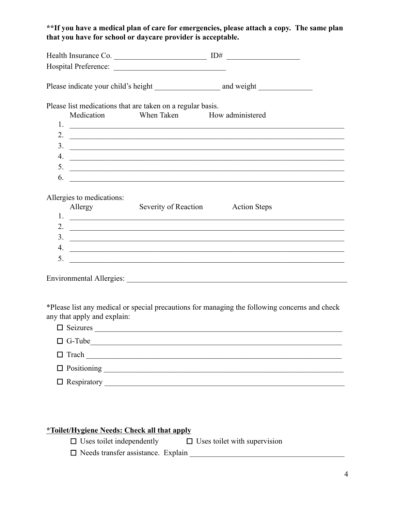## **\*\*If you have a medical plan of care for emergencies, please attach a copy. The same plan that you have for school or daycare provider is acceptable.**

| Health Insurance Co. $\qquad \qquad \qquad$ ID#<br>Please list medications that are taken on a regular basis.<br>When Taken How administered<br>Medication<br>$3.$ $\overline{\phantom{a}}$<br>4. $\overline{\phantom{a}}$<br>6.<br><u> 1989 - Jan Samuel Barbara, margaret e popularista e popularista e popularista e popularista e popularista e</u> |
|---------------------------------------------------------------------------------------------------------------------------------------------------------------------------------------------------------------------------------------------------------------------------------------------------------------------------------------------------------|
|                                                                                                                                                                                                                                                                                                                                                         |
|                                                                                                                                                                                                                                                                                                                                                         |
| Allergies to medications:                                                                                                                                                                                                                                                                                                                               |
|                                                                                                                                                                                                                                                                                                                                                         |
|                                                                                                                                                                                                                                                                                                                                                         |
|                                                                                                                                                                                                                                                                                                                                                         |
|                                                                                                                                                                                                                                                                                                                                                         |
|                                                                                                                                                                                                                                                                                                                                                         |
|                                                                                                                                                                                                                                                                                                                                                         |
|                                                                                                                                                                                                                                                                                                                                                         |
| Allergy Severity of Reaction<br><b>Action Steps</b>                                                                                                                                                                                                                                                                                                     |
|                                                                                                                                                                                                                                                                                                                                                         |
| 2. $\overline{\phantom{a}}$                                                                                                                                                                                                                                                                                                                             |
| $3.$ $\overline{\phantom{a}}$                                                                                                                                                                                                                                                                                                                           |
| 4. $\overline{\phantom{a}}$                                                                                                                                                                                                                                                                                                                             |
| 5.<br><u> 1980 - Johann John Stone, Amerikaansk politiker (</u>                                                                                                                                                                                                                                                                                         |
|                                                                                                                                                                                                                                                                                                                                                         |
|                                                                                                                                                                                                                                                                                                                                                         |

\*Please list any medical or special precautions for managing the following concerns and check any that apply and explain:

| $\Box$ Seizures           |  |
|---------------------------|--|
| $\Box$ G-Tube             |  |
| $\Box$ Trach              |  |
| $\Box$ Positioning        |  |
| $\Box$ Respiratory $\Box$ |  |

## **\*Toilet/Hygiene Needs: Check all that apply**

☐ Uses toilet independently ☐ Uses toilet with supervision

 $\Box$  Needs transfer assistance. Explain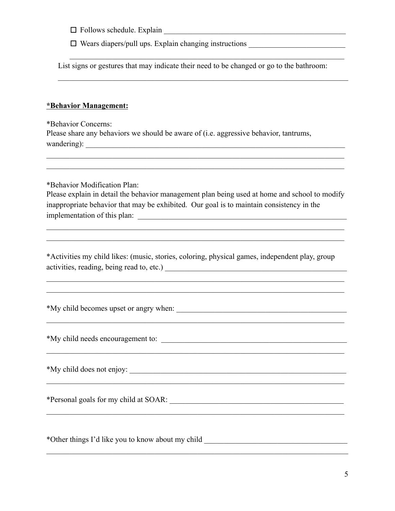$\Box$  Follows schedule. Explain

□ Wears diapers/pull ups. Explain changing instructions \_\_\_\_\_\_\_\_\_\_\_\_\_\_\_\_\_\_\_\_\_\_\_\_

List signs or gestures that may indicate their need to be changed or go to the bathroom:

 $\mathcal{L}_\text{max} = \mathcal{L}_\text{max} = \mathcal{L}_\text{max} = \mathcal{L}_\text{max} = \mathcal{L}_\text{max} = \mathcal{L}_\text{max} = \mathcal{L}_\text{max} = \mathcal{L}_\text{max} = \mathcal{L}_\text{max} = \mathcal{L}_\text{max} = \mathcal{L}_\text{max} = \mathcal{L}_\text{max} = \mathcal{L}_\text{max} = \mathcal{L}_\text{max} = \mathcal{L}_\text{max} = \mathcal{L}_\text{max} = \mathcal{L}_\text{max} = \mathcal{L}_\text{max} = \mathcal{$ 

 $\mathcal{L}_\text{max} = \mathcal{L}_\text{max} = \mathcal{L}_\text{max} = \mathcal{L}_\text{max} = \mathcal{L}_\text{max} = \mathcal{L}_\text{max} = \mathcal{L}_\text{max} = \mathcal{L}_\text{max} = \mathcal{L}_\text{max} = \mathcal{L}_\text{max} = \mathcal{L}_\text{max} = \mathcal{L}_\text{max} = \mathcal{L}_\text{max} = \mathcal{L}_\text{max} = \mathcal{L}_\text{max} = \mathcal{L}_\text{max} = \mathcal{L}_\text{max} = \mathcal{L}_\text{max} = \mathcal{$ 

## **\*Behavior Management:**

\*Behavior Concerns: Please share any behaviors we should be aware of (i.e. aggressive behavior, tantrums, wandering): \_\_\_\_\_\_\_\_\_\_\_\_\_\_\_\_\_\_\_\_\_\_\_\_\_\_\_\_\_\_\_\_\_\_\_\_\_\_\_\_\_\_\_\_\_\_\_\_\_\_\_\_\_\_\_\_\_\_\_\_\_\_\_\_\_\_\_  $\mathcal{L}_\mathcal{L} = \{ \mathcal{L}_\mathcal{L} = \{ \mathcal{L}_\mathcal{L} = \{ \mathcal{L}_\mathcal{L} = \{ \mathcal{L}_\mathcal{L} = \{ \mathcal{L}_\mathcal{L} = \{ \mathcal{L}_\mathcal{L} = \{ \mathcal{L}_\mathcal{L} = \{ \mathcal{L}_\mathcal{L} = \{ \mathcal{L}_\mathcal{L} = \{ \mathcal{L}_\mathcal{L} = \{ \mathcal{L}_\mathcal{L} = \{ \mathcal{L}_\mathcal{L} = \{ \mathcal{L}_\mathcal{L} = \{ \mathcal{L}_\mathcal{$  $\mathcal{L}_\mathcal{L} = \{ \mathcal{L}_\mathcal{L} = \{ \mathcal{L}_\mathcal{L} = \{ \mathcal{L}_\mathcal{L} = \{ \mathcal{L}_\mathcal{L} = \{ \mathcal{L}_\mathcal{L} = \{ \mathcal{L}_\mathcal{L} = \{ \mathcal{L}_\mathcal{L} = \{ \mathcal{L}_\mathcal{L} = \{ \mathcal{L}_\mathcal{L} = \{ \mathcal{L}_\mathcal{L} = \{ \mathcal{L}_\mathcal{L} = \{ \mathcal{L}_\mathcal{L} = \{ \mathcal{L}_\mathcal{L} = \{ \mathcal{L}_\mathcal{$ \*Behavior Modification Plan: Please explain in detail the behavior management plan being used at home and school to modify inappropriate behavior that may be exhibited. Our goal is to maintain consistency in the implementation of this plan:

\*Activities my child likes: (music, stories, coloring, physical games, independent play, group activities, reading, being read to, etc.) \_\_\_\_\_\_\_\_\_\_\_\_\_\_\_\_\_\_\_\_\_\_\_\_\_\_\_\_\_\_\_\_\_\_\_\_\_\_\_\_\_\_\_\_\_\_\_

 $\mathcal{L}_\mathcal{L} = \{ \mathcal{L}_\mathcal{L} = \{ \mathcal{L}_\mathcal{L} = \{ \mathcal{L}_\mathcal{L} = \{ \mathcal{L}_\mathcal{L} = \{ \mathcal{L}_\mathcal{L} = \{ \mathcal{L}_\mathcal{L} = \{ \mathcal{L}_\mathcal{L} = \{ \mathcal{L}_\mathcal{L} = \{ \mathcal{L}_\mathcal{L} = \{ \mathcal{L}_\mathcal{L} = \{ \mathcal{L}_\mathcal{L} = \{ \mathcal{L}_\mathcal{L} = \{ \mathcal{L}_\mathcal{L} = \{ \mathcal{L}_\mathcal{$  $\mathcal{L}_\mathcal{L} = \{ \mathcal{L}_\mathcal{L} = \{ \mathcal{L}_\mathcal{L} = \{ \mathcal{L}_\mathcal{L} = \{ \mathcal{L}_\mathcal{L} = \{ \mathcal{L}_\mathcal{L} = \{ \mathcal{L}_\mathcal{L} = \{ \mathcal{L}_\mathcal{L} = \{ \mathcal{L}_\mathcal{L} = \{ \mathcal{L}_\mathcal{L} = \{ \mathcal{L}_\mathcal{L} = \{ \mathcal{L}_\mathcal{L} = \{ \mathcal{L}_\mathcal{L} = \{ \mathcal{L}_\mathcal{L} = \{ \mathcal{L}_\mathcal{$ 

 $\mathcal{L}_\mathcal{L} = \{ \mathcal{L}_\mathcal{L} = \{ \mathcal{L}_\mathcal{L} = \{ \mathcal{L}_\mathcal{L} = \{ \mathcal{L}_\mathcal{L} = \{ \mathcal{L}_\mathcal{L} = \{ \mathcal{L}_\mathcal{L} = \{ \mathcal{L}_\mathcal{L} = \{ \mathcal{L}_\mathcal{L} = \{ \mathcal{L}_\mathcal{L} = \{ \mathcal{L}_\mathcal{L} = \{ \mathcal{L}_\mathcal{L} = \{ \mathcal{L}_\mathcal{L} = \{ \mathcal{L}_\mathcal{L} = \{ \mathcal{L}_\mathcal{$ 

 $\mathcal{L}_\mathcal{L} = \{ \mathcal{L}_\mathcal{L} = \{ \mathcal{L}_\mathcal{L} = \{ \mathcal{L}_\mathcal{L} = \{ \mathcal{L}_\mathcal{L} = \{ \mathcal{L}_\mathcal{L} = \{ \mathcal{L}_\mathcal{L} = \{ \mathcal{L}_\mathcal{L} = \{ \mathcal{L}_\mathcal{L} = \{ \mathcal{L}_\mathcal{L} = \{ \mathcal{L}_\mathcal{L} = \{ \mathcal{L}_\mathcal{L} = \{ \mathcal{L}_\mathcal{L} = \{ \mathcal{L}_\mathcal{L} = \{ \mathcal{L}_\mathcal{$ 

 $\mathcal{L}_\mathcal{L} = \{ \mathcal{L}_\mathcal{L} = \{ \mathcal{L}_\mathcal{L} = \{ \mathcal{L}_\mathcal{L} = \{ \mathcal{L}_\mathcal{L} = \{ \mathcal{L}_\mathcal{L} = \{ \mathcal{L}_\mathcal{L} = \{ \mathcal{L}_\mathcal{L} = \{ \mathcal{L}_\mathcal{L} = \{ \mathcal{L}_\mathcal{L} = \{ \mathcal{L}_\mathcal{L} = \{ \mathcal{L}_\mathcal{L} = \{ \mathcal{L}_\mathcal{L} = \{ \mathcal{L}_\mathcal{L} = \{ \mathcal{L}_\mathcal{$ 

 $\mathcal{L}_\mathcal{L} = \{ \mathcal{L}_\mathcal{L} = \{ \mathcal{L}_\mathcal{L} = \{ \mathcal{L}_\mathcal{L} = \{ \mathcal{L}_\mathcal{L} = \{ \mathcal{L}_\mathcal{L} = \{ \mathcal{L}_\mathcal{L} = \{ \mathcal{L}_\mathcal{L} = \{ \mathcal{L}_\mathcal{L} = \{ \mathcal{L}_\mathcal{L} = \{ \mathcal{L}_\mathcal{L} = \{ \mathcal{L}_\mathcal{L} = \{ \mathcal{L}_\mathcal{L} = \{ \mathcal{L}_\mathcal{L} = \{ \mathcal{L}_\mathcal{$ 

 $\mathcal{L}_\mathcal{L} = \{ \mathcal{L}_\mathcal{L} = \{ \mathcal{L}_\mathcal{L} = \{ \mathcal{L}_\mathcal{L} = \{ \mathcal{L}_\mathcal{L} = \{ \mathcal{L}_\mathcal{L} = \{ \mathcal{L}_\mathcal{L} = \{ \mathcal{L}_\mathcal{L} = \{ \mathcal{L}_\mathcal{L} = \{ \mathcal{L}_\mathcal{L} = \{ \mathcal{L}_\mathcal{L} = \{ \mathcal{L}_\mathcal{L} = \{ \mathcal{L}_\mathcal{L} = \{ \mathcal{L}_\mathcal{L} = \{ \mathcal{L}_\mathcal{$ 

 $\mathcal{L}_\mathcal{L} = \{ \mathcal{L}_\mathcal{L} = \{ \mathcal{L}_\mathcal{L} = \{ \mathcal{L}_\mathcal{L} = \{ \mathcal{L}_\mathcal{L} = \{ \mathcal{L}_\mathcal{L} = \{ \mathcal{L}_\mathcal{L} = \{ \mathcal{L}_\mathcal{L} = \{ \mathcal{L}_\mathcal{L} = \{ \mathcal{L}_\mathcal{L} = \{ \mathcal{L}_\mathcal{L} = \{ \mathcal{L}_\mathcal{L} = \{ \mathcal{L}_\mathcal{L} = \{ \mathcal{L}_\mathcal{L} = \{ \mathcal{L}_\mathcal{$  $\mathcal{L}_\mathcal{L} = \{ \mathcal{L}_\mathcal{L} = \{ \mathcal{L}_\mathcal{L} = \{ \mathcal{L}_\mathcal{L} = \{ \mathcal{L}_\mathcal{L} = \{ \mathcal{L}_\mathcal{L} = \{ \mathcal{L}_\mathcal{L} = \{ \mathcal{L}_\mathcal{L} = \{ \mathcal{L}_\mathcal{L} = \{ \mathcal{L}_\mathcal{L} = \{ \mathcal{L}_\mathcal{L} = \{ \mathcal{L}_\mathcal{L} = \{ \mathcal{L}_\mathcal{L} = \{ \mathcal{L}_\mathcal{L} = \{ \mathcal{L}_\mathcal{$ 

\*My child becomes upset or angry when: \_\_\_\_\_\_\_\_\_\_\_\_\_\_\_\_\_\_\_\_\_\_\_\_\_\_\_\_\_\_\_\_\_\_\_\_\_\_\_\_\_\_\_\_

\*My child needs encouragement to: \_\_\_\_\_\_\_\_\_\_\_\_\_\_\_\_\_\_\_\_\_\_\_\_\_\_\_\_\_\_\_\_\_\_\_\_\_\_\_\_\_\_\_\_\_\_\_\_

\*My child does not enjoy: \_\_\_\_\_\_\_\_\_\_\_\_\_\_\_\_\_\_\_\_\_\_\_\_\_\_\_\_\_\_\_\_\_\_\_\_\_\_\_\_\_\_\_\_\_\_\_\_\_\_\_\_\_\_\_\_

\*Personal goals for my child at SOAR: \_\_\_\_\_\_\_\_\_\_\_\_\_\_\_\_\_\_\_\_\_\_\_\_\_\_\_\_\_\_\_\_\_\_\_\_\_\_\_\_\_\_\_\_\_

\*Other things I'd like you to know about my child \_\_\_\_\_\_\_\_\_\_\_\_\_\_\_\_\_\_\_\_\_\_\_\_\_\_\_\_\_\_\_\_\_\_\_\_\_